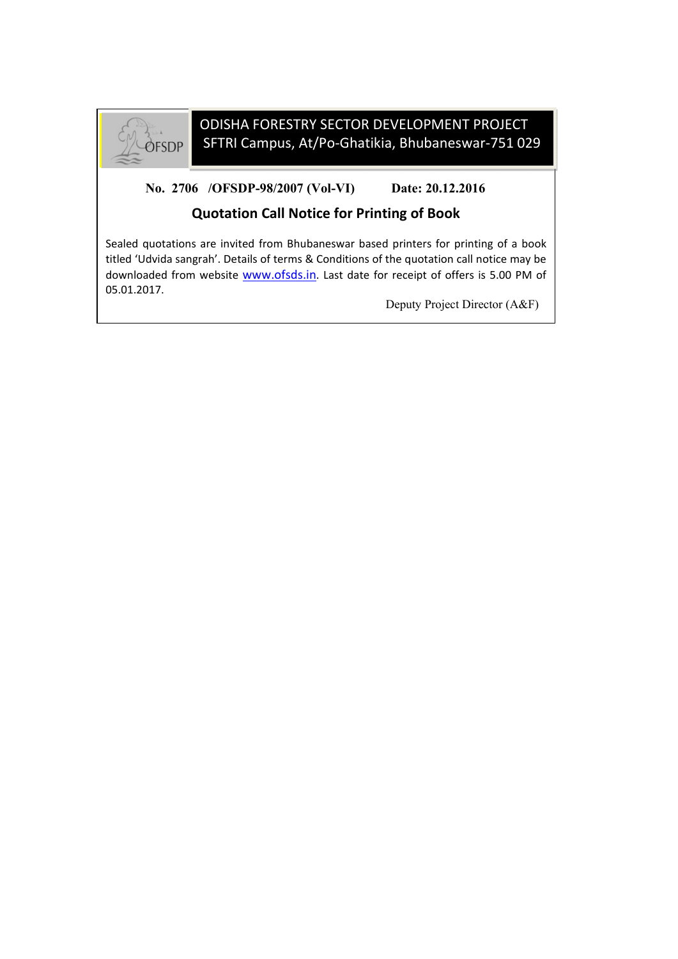

## ODISHA FORESTRY SECTOR DEVELOPMENT PROJECT SFTRI Campus, At/Po-Ghatikia, Bhubaneswar-751 029

**No. 2706 /OFSDP-98/2007 (Vol-VI) Date: 20.12.2016**

## **Quotation Call Notice for Printing of Book**

Sealed quotations are invited from Bhubaneswar based printers for printing of a book titled 'Udvida sangrah'. Details of terms & Conditions of the quotation call notice may be downloaded from website www.ofsds.in. Last date for receipt of offers is 5.00 PM of 05.01.2017.

Deputy Project Director (A&F)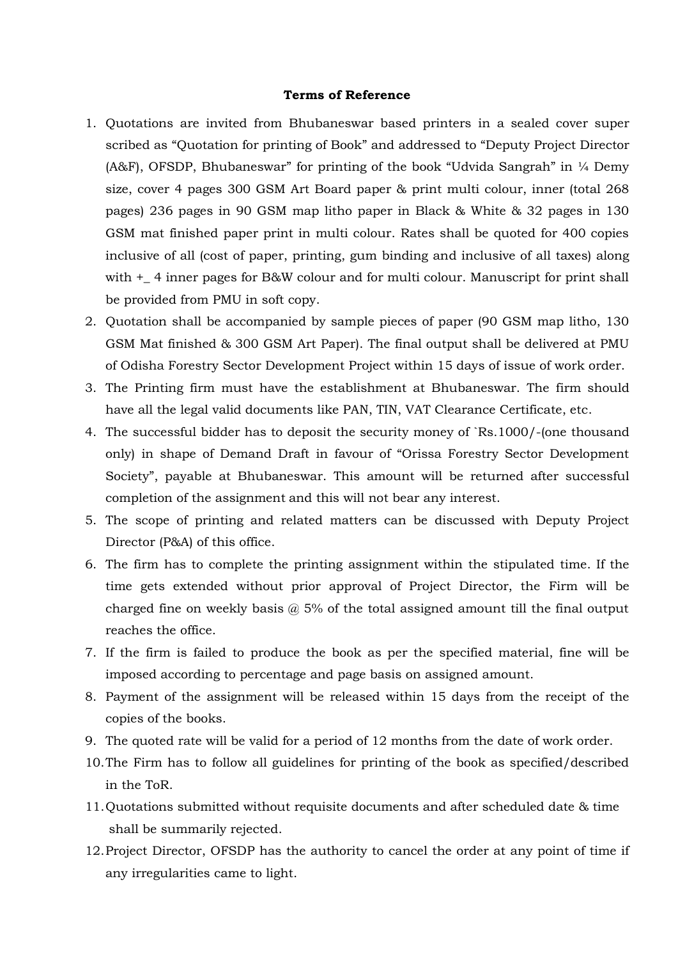## **Terms of Reference**

- 1. Quotations are invited from Bhubaneswar based printers in a sealed cover super scribed as "Quotation for printing of Book" and addressed to "Deputy Project Director (A&F), OFSDP, Bhubaneswar" for printing of the book "Udvida Sangrah" in ¼ Demy size, cover 4 pages 300 GSM Art Board paper & print multi colour, inner (total 268 pages) 236 pages in 90 GSM map litho paper in Black & White & 32 pages in 130 GSM mat finished paper print in multi colour. Rates shall be quoted for 400 copies inclusive of all (cost of paper, printing, gum binding and inclusive of all taxes) along with  $+$  4 inner pages for B&W colour and for multi colour. Manuscript for print shall be provided from PMU in soft copy.
- 2. Quotation shall be accompanied by sample pieces of paper (90 GSM map litho, 130 GSM Mat finished & 300 GSM Art Paper). The final output shall be delivered at PMU of Odisha Forestry Sector Development Project within 15 days of issue of work order.
- 3. The Printing firm must have the establishment at Bhubaneswar. The firm should have all the legal valid documents like PAN, TIN, VAT Clearance Certificate, etc.
- 4. The successful bidder has to deposit the security money of `Rs.1000/-(one thousand only) in shape of Demand Draft in favour of "Orissa Forestry Sector Development Society", payable at Bhubaneswar. This amount will be returned after successful completion of the assignment and this will not bear any interest.
- 5. The scope of printing and related matters can be discussed with Deputy Project Director (P&A) of this office.
- 6. The firm has to complete the printing assignment within the stipulated time. If the time gets extended without prior approval of Project Director, the Firm will be charged fine on weekly basis  $\omega$  5% of the total assigned amount till the final output reaches the office.
- 7. If the firm is failed to produce the book as per the specified material, fine will be imposed according to percentage and page basis on assigned amount.
- 8. Payment of the assignment will be released within 15 days from the receipt of the copies of the books.
- 9. The quoted rate will be valid for a period of 12 months from the date of work order.
- 10.The Firm has to follow all guidelines for printing of the book as specified/described in the ToR.
- 11.Quotations submitted without requisite documents and after scheduled date & time shall be summarily rejected.
- 12.Project Director, OFSDP has the authority to cancel the order at any point of time if any irregularities came to light.